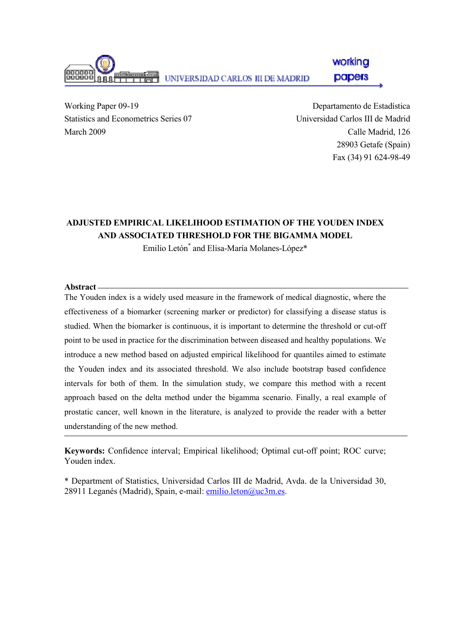

Working Paper 09-19 Statistics and Econometrics Series 07 March 2009

Departamento de Estadística Universidad Carlos III de Madrid Calle Madrid, 126 28903 Getafe (Spain) Fax (34) 91 624-98-49

# ADJUSTED EMPIRICAL LIKELIHOOD ESTIMATION OF THE YOUDEN INDEX AND ASSOCIATED THRESHOLD FOR THE BIGAMMA MODEL

Emilio Letón\* and Elisa-María Molanes-López\*

Abstract

The Youden index is a widely used measure in the framework of medical diagnostic, where the effectiveness of a biomarker (screening marker or predictor) for classifying a disease status is studied. When the biomarker is continuous, it is important to determine the threshold or cut-off point to be used in practice for the discrimination between diseased and healthy populations. We introduce a new method based on adjusted empirical likelihood for quantiles aimed to estimate the Youden index and its associated threshold. We also include bootstrap based confidence intervals for both of them. In the simulation study, we compare this method with a recent approach based on the delta method under the bigamma scenario. Finally, a real example of prostatic cancer, well known in the literature, is analyzed to provide the reader with a better understanding of the new method.

Keywords: Confidence interval; Empirical likelihood; Optimal cut-off point; ROC curve; Youden index.

\* Department of Statistics, Universidad Carlos III de Madrid, Avda. de la Universidad 30, 28911 Leganés (Madrid), Spain, e-mail: emilio.leton@uc3m.es.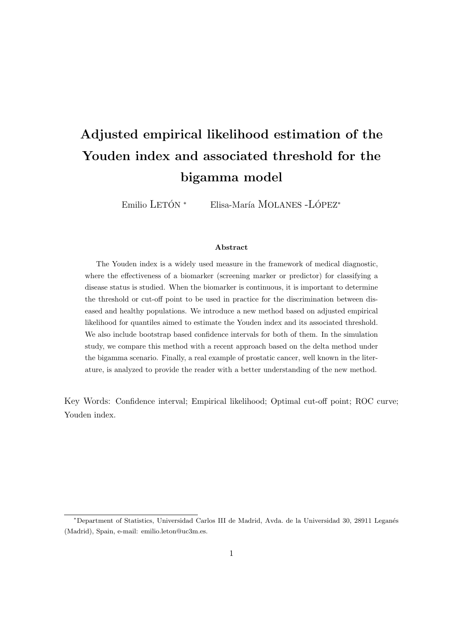# Adjusted empirical likelihood estimation of the Youden index and associated threshold for the bigamma model

Emilio LETÓN<sup>\*</sup> Elisa-María MOLANES -LÓPEZ<sup>\*</sup>

#### Abstract

The Youden index is a widely used measure in the framework of medical diagnostic, where the effectiveness of a biomarker (screening marker or predictor) for classifying a disease status is studied. When the biomarker is continuous, it is important to determine the threshold or cut-off point to be used in practice for the discrimination between diseased and healthy populations. We introduce a new method based on adjusted empirical likelihood for quantiles aimed to estimate the Youden index and its associated threshold. We also include bootstrap based confidence intervals for both of them. In the simulation study, we compare this method with a recent approach based on the delta method under the bigamma scenario. Finally, a real example of prostatic cancer, well known in the literature, is analyzed to provide the reader with a better understanding of the new method.

Key Words: Confidence interval; Empirical likelihood; Optimal cut-off point; ROC curve; Youden index.

<sup>∗</sup>Department of Statistics, Universidad Carlos III de Madrid, Avda. de la Universidad 30, 28911 Legan´es (Madrid), Spain, e-mail: emilio.leton@uc3m.es.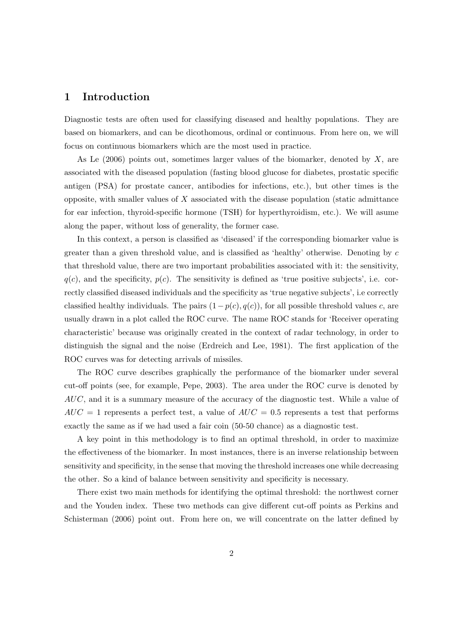#### 1 Introduction

Diagnostic tests are often used for classifying diseased and healthy populations. They are based on biomarkers, and can be dicothomous, ordinal or continuous. From here on, we will focus on continuous biomarkers which are the most used in practice.

As Le  $(2006)$  points out, sometimes larger values of the biomarker, denoted by X, are associated with the diseased population (fasting blood glucose for diabetes, prostatic specific antigen (PSA) for prostate cancer, antibodies for infections, etc.), but other times is the opposite, with smaller values of  $X$  associated with the disease population (static admittance for ear infection, thyroid-specific hormone (TSH) for hyperthyroidism, etc.). We will asume along the paper, without loss of generality, the former case.

In this context, a person is classified as 'diseased' if the corresponding biomarker value is greater than a given threshold value, and is classified as 'healthy' otherwise. Denoting by  $c$ that threshold value, there are two important probabilities associated with it: the sensitivity,  $q(c)$ , and the specificity,  $p(c)$ . The sensitivity is defined as 'true positive subjects', i.e. correctly classified diseased individuals and the specificity as 'true negative subjects', i.e correctly classified healthy individuals. The pairs  $(1-p(c), q(c))$ , for all possible threshold values c, are usually drawn in a plot called the ROC curve. The name ROC stands for 'Receiver operating characteristic' because was originally created in the context of radar technology, in order to distinguish the signal and the noise (Erdreich and Lee, 1981). The first application of the ROC curves was for detecting arrivals of missiles.

The ROC curve describes graphically the performance of the biomarker under several cut-off points (see, for example, Pepe, 2003). The area under the ROC curve is denoted by  $AUC$ , and it is a summary measure of the accuracy of the diagnostic test. While a value of  $AUC = 1$  represents a perfect test, a value of  $AUC = 0.5$  represents a test that performs exactly the same as if we had used a fair coin (50-50 chance) as a diagnostic test.

A key point in this methodology is to find an optimal threshold, in order to maximize the effectiveness of the biomarker. In most instances, there is an inverse relationship between sensitivity and specificity, in the sense that moving the threshold increases one while decreasing the other. So a kind of balance between sensitivity and specificity is necessary.

There exist two main methods for identifying the optimal threshold: the northwest corner and the Youden index. These two methods can give different cut-off points as Perkins and Schisterman (2006) point out. From here on, we will concentrate on the latter defined by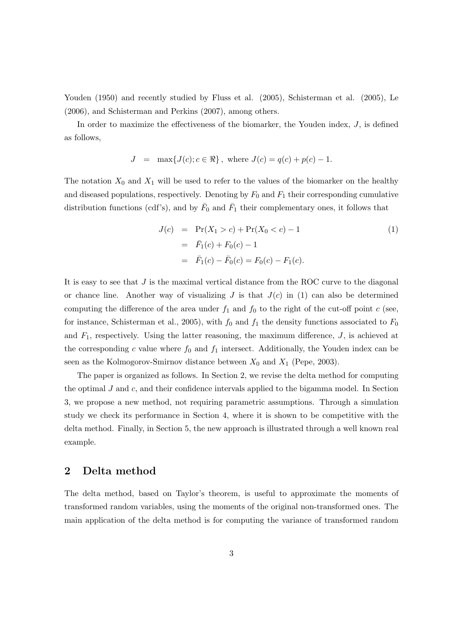Youden (1950) and recently studied by Fluss et al. (2005), Schisterman et al. (2005), Le (2006), and Schisterman and Perkins (2007), among others.

In order to maximize the effectiveness of the biomarker, the Youden index, J, is defined as follows,

$$
J = \max\{J(c); c \in \Re\}, \text{ where } J(c) = q(c) + p(c) - 1.
$$

The notation  $X_0$  and  $X_1$  will be used to refer to the values of the biomarker on the healthy and diseased populations, respectively. Denoting by  $F_0$  and  $F_1$  their corresponding cumulative distribution functions (cdf's), and by  $\bar{F}_0$  and  $\bar{F}_1$  their complementary ones, it follows that

$$
J(c) = Pr(X_1 > c) + Pr(X_0 < c) - 1
$$
  
=  $\bar{F}_1(c) + F_0(c) - 1$   
=  $\bar{F}_1(c) - \bar{F}_0(c) = F_0(c) - F_1(c)$ . (1)

It is easy to see that  $J$  is the maximal vertical distance from the ROC curve to the diagonal or chance line. Another way of visualizing  $J$  is that  $J(c)$  in (1) can also be determined computing the difference of the area under  $f_1$  and  $f_0$  to the right of the cut-off point c (see, for instance, Schisterman et al., 2005), with  $f_0$  and  $f_1$  the density functions associated to  $F_0$ and  $F_1$ , respectively. Using the latter reasoning, the maximum difference,  $J$ , is achieved at the corresponding c value where  $f_0$  and  $f_1$  intersect. Additionally, the Youden index can be seen as the Kolmogorov-Smirnov distance between  $X_0$  and  $X_1$  (Pepe, 2003).

The paper is organized as follows. In Section 2, we revise the delta method for computing the optimal  $J$  and  $c$ , and their confidence intervals applied to the bigamma model. In Section 3, we propose a new method, not requiring parametric assumptions. Through a simulation study we check its performance in Section 4, where it is shown to be competitive with the delta method. Finally, in Section 5, the new approach is illustrated through a well known real example.

### 2 Delta method

The delta method, based on Taylor's theorem, is useful to approximate the moments of transformed random variables, using the moments of the original non-transformed ones. The main application of the delta method is for computing the variance of transformed random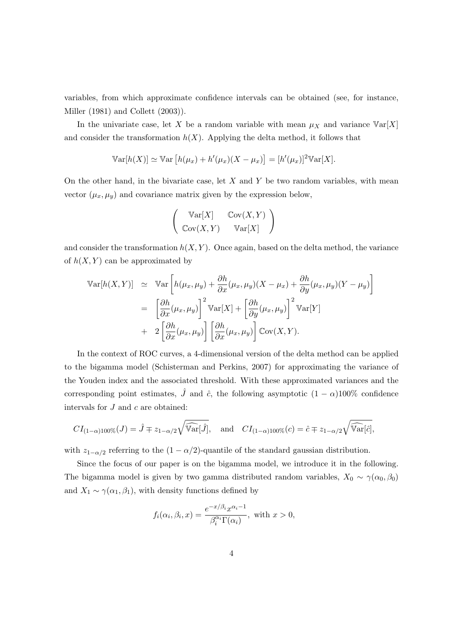variables, from which approximate confidence intervals can be obtained (see, for instance, Miller (1981) and Collett (2003)).

In the univariate case, let X be a random variable with mean  $\mu_X$  and variance  $Var[X]$ and consider the transformation  $h(X)$ . Applying the delta method, it follows that

$$
\mathbb{V}\text{ar}[h(X)] \simeq \mathbb{V}\text{ar}\left[h(\mu_x) + h'(\mu_x)(X - \mu_x)\right] = [h'(\mu_x)]^2 \mathbb{V}\text{ar}[X].
$$

On the other hand, in the bivariate case, let  $X$  and  $Y$  be two random variables, with mean vector  $(\mu_x, \mu_y)$  and covariance matrix given by the expression below,

$$
\left(\begin{array}{cc}\operatorname{Var}[X] & \operatorname{Cov}(X,Y) \\ \operatorname{Cov}(X,Y) & \operatorname{Var}[X]\end{array}\right)
$$

and consider the transformation  $h(X, Y)$ . Once again, based on the delta method, the variance of  $h(X, Y)$  can be approximated by

$$
\begin{split}\n\mathbb{V}\text{ar}[h(X,Y)] &\simeq \mathbb{V}\text{ar}\left[h(\mu_x,\mu_y) + \frac{\partial h}{\partial x}(\mu_x,\mu_y)(X-\mu_x) + \frac{\partial h}{\partial y}(\mu_x,\mu_y)(Y-\mu_y)\right] \\
&= \left[\frac{\partial h}{\partial x}(\mu_x,\mu_y)\right]^2 \mathbb{V}\text{ar}[X] + \left[\frac{\partial h}{\partial y}(\mu_x,\mu_y)\right]^2 \mathbb{V}\text{ar}[Y] \\
&+ 2\left[\frac{\partial h}{\partial x}(\mu_x,\mu_y)\right] \left[\frac{\partial h}{\partial x}(\mu_x,\mu_y)\right] \mathbb{C}\text{ov}(X,Y).\n\end{split}
$$

In the context of ROC curves, a 4-dimensional version of the delta method can be applied to the bigamma model (Schisterman and Perkins, 2007) for approximating the variance of the Youden index and the associated threshold. With these approximated variances and the corresponding point estimates,  $\hat{J}$  and  $\hat{c}$ , the following asymptotic  $(1 - \alpha)100\%$  confidence intervals for  $J$  and  $c$  are obtained:

$$
CI_{(1-\alpha)100\%}(J) = \hat{J} \mp z_{1-\alpha/2}\sqrt{\widehat{\mathbb{Var}}[\hat{J}]}, \text{ and } CI_{(1-\alpha)100\%}(c) = \hat{c} \mp z_{1-\alpha/2}\sqrt{\widehat{\mathbb{Var}}[\hat{c}]},
$$

with  $z_{1-\alpha/2}$  referring to the  $(1-\alpha/2)$ -quantile of the standard gaussian distribution.

Since the focus of our paper is on the bigamma model, we introduce it in the following. The bigamma model is given by two gamma distributed random variables,  $X_0 \sim \gamma(\alpha_0, \beta_0)$ and  $X_1 \sim \gamma(\alpha_1, \beta_1)$ , with density functions defined by

$$
f_i(\alpha_i, \beta_i, x) = \frac{e^{-x/\beta_i} x^{\alpha_i - 1}}{\beta_i^{\alpha_i} \Gamma(\alpha_i)}, \text{ with } x > 0,
$$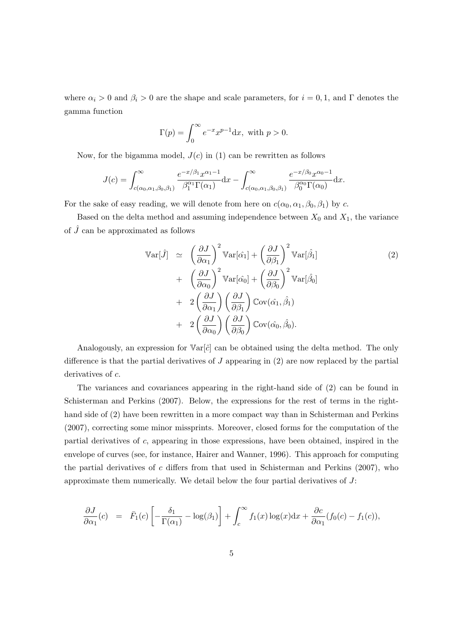where  $\alpha_i > 0$  and  $\beta_i > 0$  are the shape and scale parameters, for  $i = 0, 1$ , and  $\Gamma$  denotes the gamma function

$$
\Gamma(p) = \int_0^\infty e^{-x} x^{p-1} dx
$$
, with  $p > 0$ .

Now, for the bigamma model,  $J(c)$  in (1) can be rewritten as follows

$$
J(c) = \int_{c(\alpha_0,\alpha_1,\beta_0,\beta_1)}^{\infty} \frac{e^{-x/\beta_1} x^{\alpha_1 - 1}}{\beta_1^{\alpha_1} \Gamma(\alpha_1)} dx - \int_{c(\alpha_0,\alpha_1,\beta_0,\beta_1)}^{\infty} \frac{e^{-x/\beta_0} x^{\alpha_0 - 1}}{\beta_0^{\alpha_0} \Gamma(\alpha_0)} dx.
$$

For the sake of easy reading, we will denote from here on  $c(\alpha_0, \alpha_1, \beta_0, \beta_1)$  by c.

Based on the delta method and assuming independence between  $X_0$  and  $X_1$ , the variance of  $\hat{J}$  can be approximated as follows

$$
\begin{split}\n\mathbb{V}\text{ar}[\hat{J}] &\simeq \quad \left(\frac{\partial J}{\partial \alpha_{1}}\right)^{2} \mathbb{V}\text{ar}[\hat{\alpha}_{1}] + \left(\frac{\partial J}{\partial \beta_{1}}\right)^{2} \mathbb{V}\text{ar}[\hat{\beta}_{1}] \\
&\quad + \quad \left(\frac{\partial J}{\partial \alpha_{0}}\right)^{2} \mathbb{V}\text{ar}[\hat{\alpha}_{0}] + \left(\frac{\partial J}{\partial \beta_{0}}\right)^{2} \mathbb{V}\text{ar}[\hat{\beta}_{0}] \\
&\quad + \quad 2 \left(\frac{\partial J}{\partial \alpha_{1}}\right) \left(\frac{\partial J}{\partial \beta_{1}}\right) \mathbb{C}\text{ov}(\hat{\alpha}_{1}, \hat{\beta}_{1}) \\
&\quad + \quad 2 \left(\frac{\partial J}{\partial \alpha_{0}}\right) \left(\frac{\partial J}{\partial \beta_{0}}\right) \mathbb{C}\text{ov}(\hat{\alpha}_{0}, \hat{\beta}_{0}).\n\end{split}
$$
\n(2)

Analogously, an expression for  $\text{Var}[\hat{c}]$  can be obtained using the delta method. The only difference is that the partial derivatives of  $J$  appearing in  $(2)$  are now replaced by the partial derivatives of  $c$ .

The variances and covariances appearing in the right-hand side of (2) can be found in Schisterman and Perkins (2007). Below, the expressions for the rest of terms in the righthand side of (2) have been rewritten in a more compact way than in Schisterman and Perkins (2007), correcting some minor missprints. Moreover, closed forms for the computation of the partial derivatives of c, appearing in those expressions, have been obtained, inspired in the envelope of curves (see, for instance, Hairer and Wanner, 1996). This approach for computing the partial derivatives of  $c$  differs from that used in Schisterman and Perkins (2007), who approximate them numerically. We detail below the four partial derivatives of  $J$ :

$$
\frac{\partial J}{\partial \alpha_1}(c) = \bar{F}_1(c) \left[ -\frac{\delta_1}{\Gamma(\alpha_1)} - \log(\beta_1) \right] + \int_c^{\infty} f_1(x) \log(x) dx + \frac{\partial c}{\partial \alpha_1} (f_0(c) - f_1(c)),
$$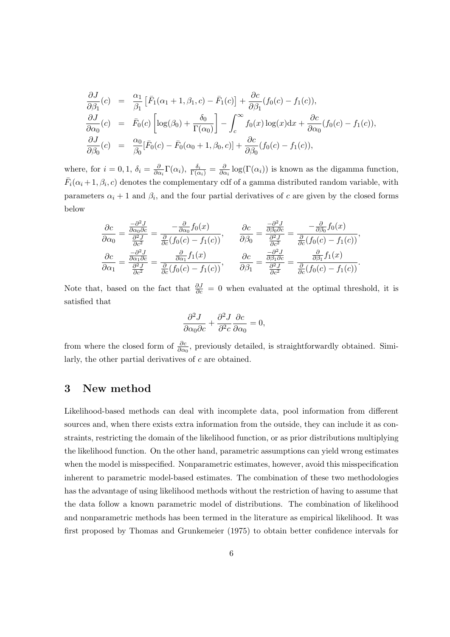$$
\frac{\partial J}{\partial \beta_1}(c) = \frac{\alpha_1}{\beta_1} \left[ \bar{F}_1(\alpha_1 + 1, \beta_1, c) - \bar{F}_1(c) \right] + \frac{\partial c}{\partial \beta_1} (f_0(c) - f_1(c)),
$$
\n
$$
\frac{\partial J}{\partial \alpha_0}(c) = \bar{F}_0(c) \left[ \log(\beta_0) + \frac{\delta_0}{\Gamma(\alpha_0)} \right] - \int_c^{\infty} f_0(x) \log(x) dx + \frac{\partial c}{\partial \alpha_0} (f_0(c) - f_1(c)),
$$
\n
$$
\frac{\partial J}{\partial \beta_0}(c) = \frac{\alpha_0}{\beta_0} [\bar{F}_0(c) - \bar{F}_0(\alpha_0 + 1, \beta_0, c)] + \frac{\partial c}{\partial \beta_0} (f_0(c) - f_1(c)),
$$

where, for  $i=0,1, \delta_i = \frac{\partial}{\partial q_i}$  $\frac{\partial}{\partial \alpha_i} \Gamma(\alpha_i), \frac{\delta_i}{\Gamma(\alpha_i)} = \frac{\partial}{\partial \alpha_i}$  $\frac{\partial}{\partial \alpha_i}$ log( $\Gamma(\alpha_i)$ ) is known as the digamma function,  $\bar{F}_i(\alpha_i+1,\beta_i,c)$  denotes the complementary cdf of a gamma distributed random variable, with parameters  $\alpha_i + 1$  and  $\beta_i$ , and the four partial derivatives of c are given by the closed forms below

$$
\frac{\partial c}{\partial \alpha_0} = \frac{\frac{-\partial^2 J}{\partial \alpha_0 \partial c}}{\frac{\partial^2 J}{\partial c^2}} = \frac{-\frac{\partial}{\partial \alpha_0} f_0(x)}{\frac{\partial^2 J}{\partial c^2} (\frac{f_0(c) - f_1(c))}{\frac{\partial^2 J}{\partial c^2}}, \qquad \frac{\partial c}{\partial \beta_0} = \frac{\frac{-\partial^2 J}{\partial \beta_0 \partial c}}{\frac{\partial^2 J}{\partial c^2}} = \frac{-\frac{\partial}{\partial \beta_0} f_0(x)}{\frac{\partial^2 J}{\partial c^2} (\frac{f_0(c) - f_1(c))}{\frac{\partial^2 J}{\partial c^2}}},
$$
\n
$$
\frac{\partial c}{\partial \alpha_1} = \frac{\frac{\partial^2 J}{\partial \alpha_1 \partial c}}{\frac{\partial^2 J}{\partial c^2}} = \frac{\frac{\partial}{\partial \alpha_1} f_1(x)}{\frac{\partial^2 J}{\partial c^2} (\frac{f_0(c) - f_1(c))}{\frac{\partial^2 J}{\partial c^2}}}, \qquad \frac{\partial c}{\partial \beta_1} = \frac{\frac{\partial^2 J}{\partial \beta_1 \partial c}}{\frac{\partial^2 J}{\partial c^2}} = \frac{\frac{\partial}{\partial \beta_1} f_1(x)}{\frac{\partial^2 J}{\partial c^2} (\frac{f_0(c) - f_1(c))}{\frac{\partial^2 J}{\partial c^2}}.
$$

Note that, based on the fact that  $\frac{\partial J}{\partial c} = 0$  when evaluated at the optimal threshold, it is satisfied that

$$
\frac{\partial^2 J}{\partial \alpha_0 \partial c} + \frac{\partial^2 J}{\partial^2 c} \frac{\partial c}{\partial \alpha_0} = 0,
$$

from where the closed form of  $\frac{\partial c}{\partial \alpha_0}$ , previously detailed, is straightforwardly obtained. Similarly, the other partial derivatives of c are obtained.

#### 3 New method

Likelihood-based methods can deal with incomplete data, pool information from different sources and, when there exists extra information from the outside, they can include it as constraints, restricting the domain of the likelihood function, or as prior distributions multiplying the likelihood function. On the other hand, parametric assumptions can yield wrong estimates when the model is misspecified. Nonparametric estimates, however, avoid this misspecification inherent to parametric model-based estimates. The combination of these two methodologies has the advantage of using likelihood methods without the restriction of having to assume that the data follow a known parametric model of distributions. The combination of likelihood and nonparametric methods has been termed in the literature as empirical likelihood. It was first proposed by Thomas and Grunkemeier (1975) to obtain better confidence intervals for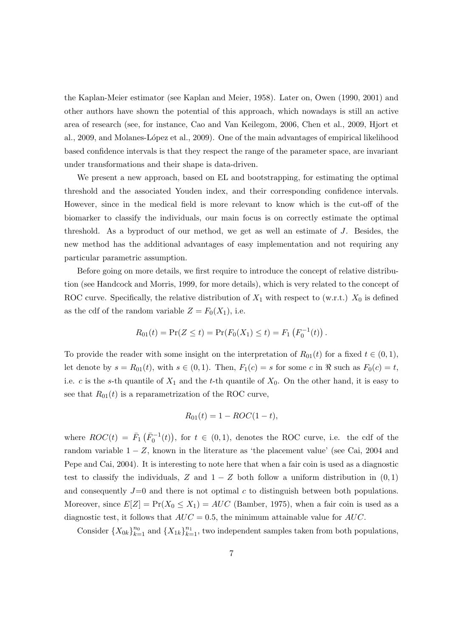the Kaplan-Meier estimator (see Kaplan and Meier, 1958). Later on, Owen (1990, 2001) and other authors have shown the potential of this approach, which nowadays is still an active area of research (see, for instance, Cao and Van Keilegom, 2006, Chen et al., 2009, Hjort et al., 2009, and Molanes-López et al., 2009). One of the main advantages of empirical likelihood based confidence intervals is that they respect the range of the parameter space, are invariant under transformations and their shape is data-driven.

We present a new approach, based on EL and bootstrapping, for estimating the optimal threshold and the associated Youden index, and their corresponding confidence intervals. However, since in the medical field is more relevant to know which is the cut-off of the biomarker to classify the individuals, our main focus is on correctly estimate the optimal threshold. As a byproduct of our method, we get as well an estimate of J. Besides, the new method has the additional advantages of easy implementation and not requiring any particular parametric assumption.

Before going on more details, we first require to introduce the concept of relative distribution (see Handcock and Morris, 1999, for more details), which is very related to the concept of ROC curve. Specifically, the relative distribution of  $X_1$  with respect to (w.r.t.)  $X_0$  is defined as the cdf of the random variable  $Z = F_0(X_1)$ , i.e.

$$
R_{01}(t) = \Pr(Z \le t) = \Pr(F_0(X_1) \le t) = F_1(F_0^{-1}(t)).
$$

To provide the reader with some insight on the interpretation of  $R_{01}(t)$  for a fixed  $t \in (0,1)$ , let denote by  $s = R_{01}(t)$ , with  $s \in (0, 1)$ . Then,  $F_1(c) = s$  for some c in  $\Re$  such as  $F_0(c) = t$ , i.e. c is the s-th quantile of  $X_1$  and the t-th quantile of  $X_0$ . On the other hand, it is easy to see that  $R_{01}(t)$  is a reparametrization of the ROC curve,

$$
R_{01}(t) = 1 - ROC(1 - t),
$$

where  $ROC(t) = \bar{F}_1(\bar{F}_0^{-1}(t)),$  for  $t \in (0,1)$ , denotes the ROC curve, i.e. the cdf of the random variable  $1 - Z$ , known in the literature as 'the placement value' (see Cai, 2004 and Pepe and Cai, 2004). It is interesting to note here that when a fair coin is used as a diagnostic test to classify the individuals, Z and  $1 - Z$  both follow a uniform distribution in  $(0, 1)$ and consequently  $J=0$  and there is not optimal c to distinguish between both populations. Moreover, since  $E[Z] = Pr(X_0 \le X_1) = AUC$  (Bamber, 1975), when a fair coin is used as a diagnostic test, it follows that  $AUC = 0.5$ , the minimum attainable value for  $AUC$ .

Consider  $\{X_{0k}\}_{k=1}^{n_0}$  and  $\{X_{1k}\}_{k=1}^{n_1}$ , two independent samples taken from both populations,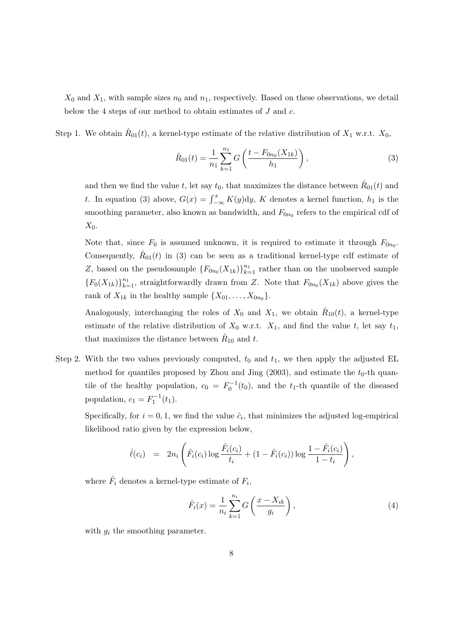$X_0$  and  $X_1$ , with sample sizes  $n_0$  and  $n_1$ , respectively. Based on these observations, we detail below the 4 steps of our method to obtain estimates of J and c.

Step 1. We obtain  $\hat{R}_{01}(t)$ , a kernel-type estimate of the relative distribution of  $X_1$  w.r.t.  $X_0$ ,

$$
\hat{R}_{01}(t) = \frac{1}{n_1} \sum_{k=1}^{n_1} G\left(\frac{t - F_{0n_0}(X_{1k})}{h_1}\right),\tag{3}
$$

and then we find the value t, let say  $t_0$ , that maximizes the distance between  $\hat{R}_{01}(t)$  and t. In equation (3) above,  $G(x) = \int_{-\infty}^{x} K(y) dy$ , K denotes a kernel function,  $h_1$  is the smoothing parameter, also known as bandwidth, and  $F_{0n_0}$  refers to the empirical cdf of  $X_0$ .

Note that, since  $F_0$  is assumed unknown, it is required to estimate it through  $F_{0n_0}$ . Consequently,  $\hat{R}_{01}(t)$  in (3) can be seen as a traditional kernel-type cdf estimate of Z, based on the pseudosample  $\{F_{0n_0}(X_{1k})\}_{k=1}^{n_1}$  rather than on the unobserved sample  ${F_0(X_{1k})}_{k=1}^{n_1}$ , straightforwardly drawn from Z. Note that  $F_{0n_0}(X_{1k})$  above gives the rank of  $X_{1k}$  in the healthy sample  $\{X_{01}, \ldots, X_{0n_0}\}.$ 

Analogously, interchanging the roles of  $X_0$  and  $X_1$ , we obtain  $\hat{R}_{10}(t)$ , a kernel-type estimate of the relative distribution of  $X_0$  w.r.t.  $X_1$ , and find the value t, let say  $t_1$ , that maximizes the distance between  $\hat{R}_{10}$  and t.

Step 2. With the two values previously computed,  $t_0$  and  $t_1$ , we then apply the adjusted EL method for quantiles proposed by Zhou and Jing  $(2003)$ , and estimate the  $t_0$ -th quantile of the healthy population,  $c_0 = F_0^{-1}(t_0)$ , and the  $t_1$ -th quantile of the diseased population,  $c_1 = F_1^{-1}(t_1)$ .

Specifically, for  $i = 0, 1$ , we find the value  $\hat{c}_i$ , that minimizes the adjusted log-empirical likelihood ratio given by the expression below,

$$
\hat{\ell}(c_i) = 2n_i \left( \hat{F}_i(c_i) \log \frac{\hat{F}_i(c_i)}{t_i} + (1 - \hat{F}_i(c_i)) \log \frac{1 - \hat{F}_i(c_i)}{1 - t_i} \right),
$$

where  $\hat{F}_i$  denotes a kernel-type estimate of  $F_i$ ,

$$
\hat{F}_i(x) = \frac{1}{n_i} \sum_{k=1}^{n_i} G\left(\frac{x - X_{ik}}{g_i}\right),\tag{4}
$$

with  $g_i$  the smoothing parameter.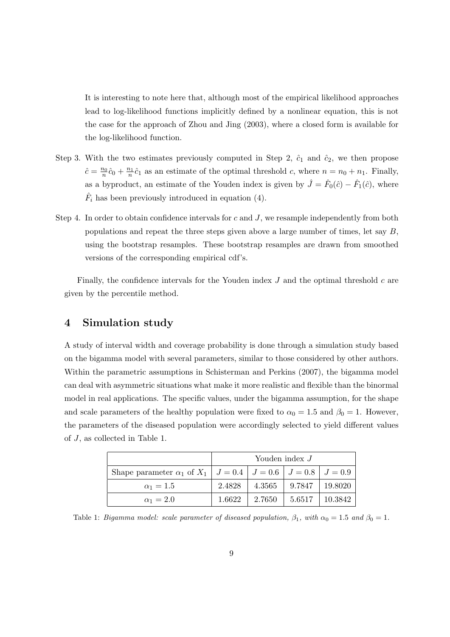It is interesting to note here that, although most of the empirical likelihood approaches lead to log-likelihood functions implicitly defined by a nonlinear equation, this is not the case for the approach of Zhou and Jing (2003), where a closed form is available for the log-likelihood function.

- Step 3. With the two estimates previously computed in Step 2,  $\hat{c}_1$  and  $\hat{c}_2$ , we then propose  $\hat{c} = \frac{n_0}{n}$  $\frac{n_0}{n}\hat{c}_0 + \frac{n_1}{n}$  $\frac{n_1}{n}\hat{c}_1$  as an estimate of the optimal threshold c, where  $n = n_0 + n_1$ . Finally, as a byproduct, an estimate of the Youden index is given by  $\hat{J} = \hat{F}_0(\hat{c}) - \hat{F}_1(\hat{c})$ , where  $\hat{F}_i$  has been previously introduced in equation (4).
- Step 4. In order to obtain confidence intervals for  $c$  and  $J$ , we resample independently from both populations and repeat the three steps given above a large number of times, let say  $B$ , using the bootstrap resamples. These bootstrap resamples are drawn from smoothed versions of the corresponding empirical cdf's.

Finally, the confidence intervals for the Youden index  $J$  and the optimal threshold  $c$  are given by the percentile method.

### 4 Simulation study

A study of interval width and coverage probability is done through a simulation study based on the bigamma model with several parameters, similar to those considered by other authors. Within the parametric assumptions in Schisterman and Perkins (2007), the bigamma model can deal with asymmetric situations what make it more realistic and flexible than the binormal model in real applications. The specific values, under the bigamma assumption, for the shape and scale parameters of the healthy population were fixed to  $\alpha_0 = 1.5$  and  $\beta_0 = 1$ . However, the parameters of the diseased population were accordingly selected to yield different values of J, as collected in Table 1.

|                                                                                         | Youden index $J$ |        |        |            |  |
|-----------------------------------------------------------------------------------------|------------------|--------|--------|------------|--|
| Shape parameter $\alpha_1$ of $X_1 \mid J = 0.4 \mid J = 0.6 \mid J = 0.8 \mid J = 0.9$ |                  |        |        |            |  |
| $\alpha_1 = 1.5$                                                                        | 2.4828           | 4.3565 | 9.7847 | 19.8020    |  |
| $\alpha_1 = 2.0$                                                                        | 1.6622           | 2.7650 | 5.6517 | $+10.3842$ |  |

Table 1: Bigamma model: scale parameter of diseased population,  $\beta_1$ , with  $\alpha_0 = 1.5$  and  $\beta_0 = 1$ .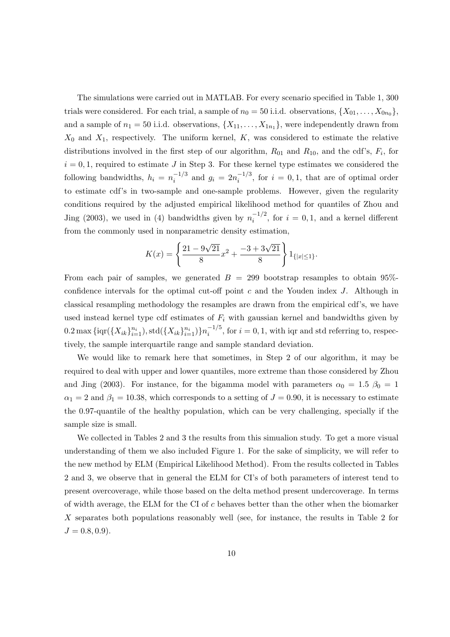The simulations were carried out in MATLAB. For every scenario specified in Table 1, 300 trials were considered. For each trial, a sample of  $n_0 = 50$  i.i.d. observations,  $\{X_{01}, \ldots, X_{0n_0}\},$ and a sample of  $n_1 = 50$  i.i.d. observations,  $\{X_{11}, \ldots, X_{1n_1}\}$ , were independently drawn from  $X_0$  and  $X_1$ , respectively. The uniform kernel, K, was considered to estimate the relative distributions involved in the first step of our algorithm,  $R_{01}$  and  $R_{10}$ , and the cdf's,  $F_i$ , for  $i = 0, 1$ , required to estimate J in Step 3. For these kernel type estimates we considered the following bandwidths,  $h_i = n_i^{-1/3}$  $i^{-(1/3)}$  and  $g_i = 2n_i^{-1/3}$  $i^{(-1/3)}$ , for  $i = 0, 1$ , that are of optimal order to estimate cdf's in two-sample and one-sample problems. However, given the regularity conditions required by the adjusted empirical likelihood method for quantiles of Zhou and Jing (2003), we used in (4) bandwidths given by  $n_i^{-1/2}$  $i^{(-1/2)}$ , for  $i = 0, 1$ , and a kernel different from the commonly used in nonparametric density estimation,

$$
K(x) = \left\{ \frac{21 - 9\sqrt{21}}{8}x^2 + \frac{-3 + 3\sqrt{21}}{8} \right\} 1_{\{|x| \le 1\}}.
$$

From each pair of samples, we generated  $B = 299$  bootstrap resamples to obtain 95%confidence intervals for the optimal cut-off point  $c$  and the Youden index  $J$ . Although in classical resampling methodology the resamples are drawn from the empirical cdf's, we have used instead kernel type cdf estimates of  $F_i$  with gaussian kernel and bandwidths given by  $0.2 \max\{\log(\{X_{ik}\}_{i=1}^{n_i}), \text{std}(\{X_{ik}\}_{i=1}^{n_i})\}n_i^{-1/5}$  $i^{(-1)}$ , for  $i = 0, 1$ , with iqr and std referring to, respectively, the sample interquartile range and sample standard deviation.

We would like to remark here that sometimes, in Step 2 of our algorithm, it may be required to deal with upper and lower quantiles, more extreme than those considered by Zhou and Jing (2003). For instance, for the bigamma model with parameters  $\alpha_0 = 1.5$   $\beta_0 = 1$  $\alpha_1 = 2$  and  $\beta_1 = 10.38$ , which corresponds to a setting of  $J = 0.90$ , it is necessary to estimate the 0.97-quantile of the healthy population, which can be very challenging, specially if the sample size is small.

We collected in Tables 2 and 3 the results from this simualion study. To get a more visual understanding of them we also included Figure 1. For the sake of simplicity, we will refer to the new method by ELM (Empirical Likelihood Method). From the results collected in Tables 2 and 3, we observe that in general the ELM for CI's of both parameters of interest tend to present overcoverage, while those based on the delta method present undercoverage. In terms of width average, the ELM for the CI of  $c$  behaves better than the other when the biomarker X separates both populations reasonably well (see, for instance, the results in Table 2 for  $J = 0.8, 0.9$ .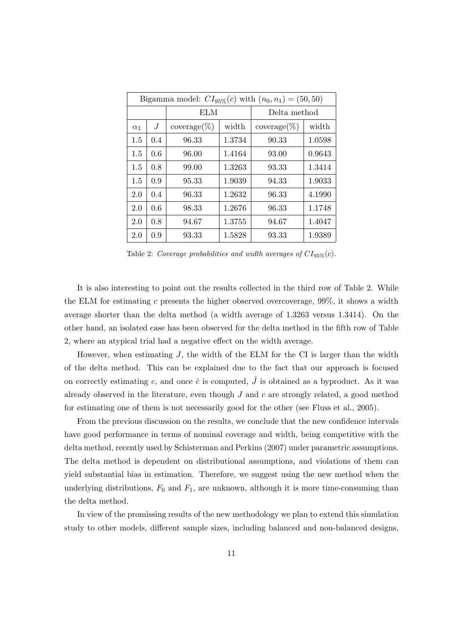| Bigamma model: $CI_{95\%}(c)$ with $(n_0, n_1) = (50, 50)$ |     |                         |        |                 |        |  |  |
|------------------------------------------------------------|-----|-------------------------|--------|-----------------|--------|--|--|
|                                                            |     | ELM                     |        | Delta method    |        |  |  |
| $\alpha_1$                                                 | J   | $\mathrm{coverage}(\%)$ | width  | $coverage (\%)$ | width  |  |  |
| 1.5                                                        | 0.4 | 96.33                   | 1.3734 | 90.33           | 1.0598 |  |  |
| 1.5                                                        | 0.6 | 96.00                   | 1.4164 | 93.00           | 0.9643 |  |  |
| 1.5                                                        | 0.8 | 99.00                   | 1.3263 | 93.33           | 1.3414 |  |  |
| 1.5                                                        | 0.9 | 95.33                   | 1.9039 | 94.33           | 1.9033 |  |  |
| 2.0                                                        | 0.4 | 96.33                   | 1.2632 | 96.33           | 4.1990 |  |  |
| 2.0                                                        | 0.6 | 98.33                   | 1.2676 | 96.33           | 1.1748 |  |  |
| 2.0                                                        | 0.8 | 94.67                   | 1.3755 | 94.67           | 1.4047 |  |  |
| 2.0                                                        | 0.9 | 93.33                   | 1.5828 | 93.33           | 1.9389 |  |  |

Table 2: Coverage probabilities and width averages of  $CI_{95\%}(c)$ .

It is also interesting to point out the results collected in the third row of Table 2. While the ELM for estimating c presents the higher observed overcoverage,  $99\%$ , it shows a width average shorter than the delta method (a width average of 1.3263 versus 1.3414). On the other hand, an isolated case has been observed for the delta method in the fifth row of Table 2, where an atypical trial had a negative effect on the width average.

However, when estimating  $J$ , the width of the ELM for the CI is larger than the width of the delta method. This can be explained due to the fact that our approach is focused on correctly estimating c, and once  $\hat{c}$  is computed,  $\hat{J}$  is obtained as a byproduct. As it was already observed in the literature, even though  $J$  and  $c$  are strongly related, a good method for estimating one of them is not necessarily good for the other (see Fluss et al., 2005).

From the previous discussion on the results, we conclude that the new confidence intervals have good performance in terms of nominal coverage and width, being competitive with the delta method, recently used by Schisterman and Perkins (2007) under parametric assumptions. The delta method is dependent on distributional assumptions, and violations of them can yield substantial bias in estimation. Therefore, we suggest using the new method when the underlying distributions,  $F_0$  and  $F_1$ , are unknown, although it is more time-consuming than the delta method.

In view of the promissing results of the new methodology we plan to extend this simulation study to other models, different sample sizes, including balanced and non-balanced designs,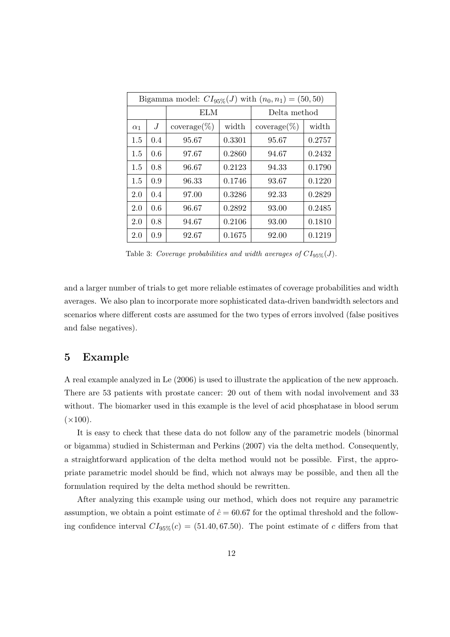| Bigamma model: $CI_{95\%}(J)$ with $(n_0, n_1) = (50, 50)$ |     |                 |        |                         |        |  |  |
|------------------------------------------------------------|-----|-----------------|--------|-------------------------|--------|--|--|
|                                                            |     | ELM             |        | Delta method            |        |  |  |
| $\alpha_1$                                                 | J   | $coverage (\%)$ | width  | $\mathrm{coverage}(\%)$ | width  |  |  |
| 1.5                                                        | 0.4 | 95.67           | 0.3301 | 95.67                   | 0.2757 |  |  |
| 1.5                                                        | 0.6 | 97.67           | 0.2860 | 94.67                   | 0.2432 |  |  |
| 1.5                                                        | 0.8 | 96.67           | 0.2123 | 94.33                   | 0.1790 |  |  |
| 1.5                                                        | 0.9 | 96.33           | 0.1746 | 93.67                   | 0.1220 |  |  |
| 2.0                                                        | 0.4 | 97.00           | 0.3286 | 92.33                   | 0.2829 |  |  |
| 2.0                                                        | 0.6 | 96.67           | 0.2892 | 93.00                   | 0.2485 |  |  |
| 2.0                                                        | 0.8 | 94.67           | 0.2106 | 93.00                   | 0.1810 |  |  |
| 2.0                                                        | 0.9 | 92.67           | 0.1675 | 92.00                   | 0.1219 |  |  |

Table 3: Coverage probabilities and width averages of  $CI_{95\%}(J)$ .

and a larger number of trials to get more reliable estimates of coverage probabilities and width averages. We also plan to incorporate more sophisticated data-driven bandwidth selectors and scenarios where different costs are assumed for the two types of errors involved (false positives and false negatives).

# 5 Example

A real example analyzed in Le (2006) is used to illustrate the application of the new approach. There are 53 patients with prostate cancer: 20 out of them with nodal involvement and 33 without. The biomarker used in this example is the level of acid phosphatase in blood serum  $(\times 100)$ .

It is easy to check that these data do not follow any of the parametric models (binormal or bigamma) studied in Schisterman and Perkins (2007) via the delta method. Consequently, a straightforward application of the delta method would not be possible. First, the appropriate parametric model should be find, which not always may be possible, and then all the formulation required by the delta method should be rewritten.

After analyzing this example using our method, which does not require any parametric assumption, we obtain a point estimate of  $\hat{c} = 60.67$  for the optimal threshold and the following confidence interval  $CI_{95\%}(c) = (51.40, 67.50)$ . The point estimate of c differs from that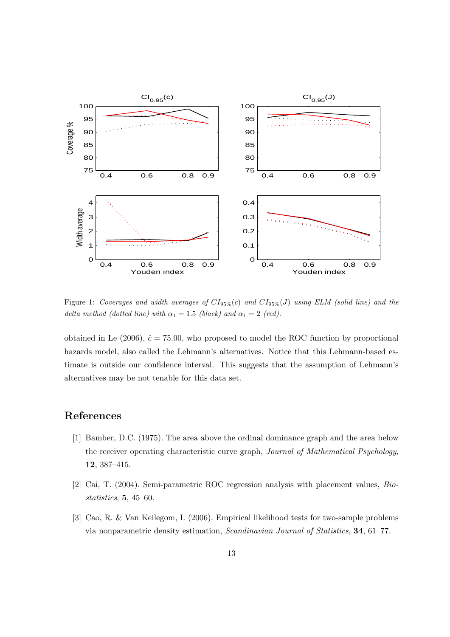

Figure 1: Coverages and width averages of  $CI_{95\%}(c)$  and  $CI_{95\%}(J)$  using ELM (solid line) and the delta method (dotted line) with  $\alpha_1 = 1.5$  (black) and  $\alpha_1 = 2$  (red).

obtained in Le (2006),  $\hat{c} = 75.00$ , who proposed to model the ROC function by proportional hazards model, also called the Lehmann's alternatives. Notice that this Lehmann-based estimate is outside our confidence interval. This suggests that the assumption of Lehmann's alternatives may be not tenable for this data set.

# References

- [1] Bamber, D.C. (1975). The area above the ordinal dominance graph and the area below the receiver operating characteristic curve graph, Journal of Mathematical Psychology, 12, 387–415.
- [2] Cai, T. (2004). Semi-parametric ROC regression analysis with placement values, Biostatistics, 5, 45–60.
- [3] Cao, R. & Van Keilegom, I. (2006). Empirical likelihood tests for two-sample problems via nonparametric density estimation, Scandinavian Journal of Statistics, 34, 61–77.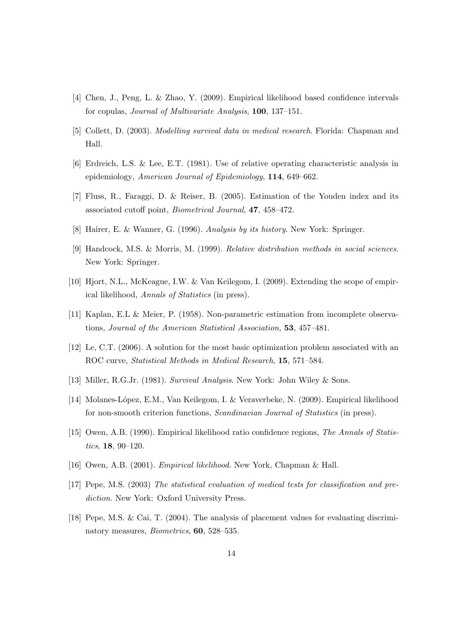- [4] Chen, J., Peng, L. & Zhao, Y. (2009). Empirical likelihood based confidence intervals for copulas, Journal of Multivariate Analysis, 100, 137–151.
- [5] Collett, D. (2003). Modelling survival data in medical research. Florida: Chapman and Hall.
- [6] Erdreich, L.S. & Lee, E.T. (1981). Use of relative operating characteristic analysis in epidemiology, American Journal of Epidemiology, 114, 649–662.
- [7] Fluss, R., Faraggi, D. & Reiser, B. (2005). Estimation of the Youden index and its associated cutoff point, Biometrical Journal, 47, 458–472.
- [8] Hairer, E. & Wanner, G. (1996). Analysis by its history. New York: Springer.
- [9] Handcock, M.S. & Morris, M. (1999). Relative distribution methods in social sciences. New York: Springer.
- [10] Hjort, N.L., McKeague, I.W. & Van Keilegom, I. (2009). Extending the scope of empirical likelihood, Annals of Statistics (in press).
- [11] Kaplan, E.L & Meier, P. (1958). Non-parametric estimation from incomplete observations, Journal of the American Statistical Association, 53, 457–481.
- [12] Le, C.T. (2006). A solution for the most basic optimization problem associated with an ROC curve, Statistical Methods in Medical Research, 15, 571–584.
- [13] Miller, R.G.Jr. (1981). Survival Analysis. New York: John Wiley & Sons.
- [14] Molanes-L´opez, E.M., Van Keilegom, I. & Veraverbeke, N. (2009). Empirical likelihood for non-smooth criterion functions, Scandinavian Journal of Statistics (in press).
- [15] Owen, A.B. (1990). Empirical likelihood ratio confidence regions, The Annals of Statistics, 18, 90–120.
- [16] Owen, A.B. (2001). Empirical likelihood. New York, Chapman & Hall.
- [17] Pepe, M.S. (2003) The statistical evaluation of medical tests for classification and prediction. New York: Oxford University Press.
- [18] Pepe, M.S. & Cai, T. (2004). The analysis of placement values for evaluating discriminatory measures, *Biometrics*, **60**, 528–535.